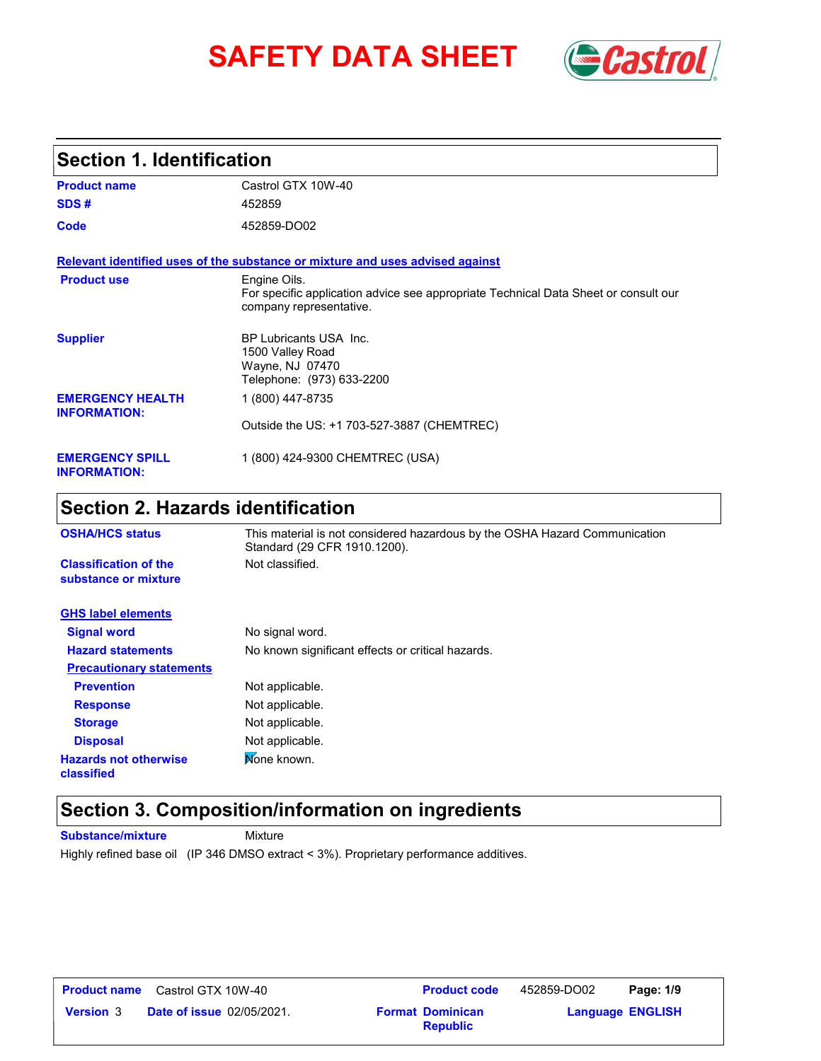# **SAFETY DATA SHEET** *Castrol*



## **Section 1. Identification**

| <b>Product name</b>                            | Castrol GTX 10W-40                                                                                                             |
|------------------------------------------------|--------------------------------------------------------------------------------------------------------------------------------|
| SDS#                                           | 452859                                                                                                                         |
| Code                                           | 452859-DO02                                                                                                                    |
|                                                | Relevant identified uses of the substance or mixture and uses advised against                                                  |
| <b>Product use</b>                             | Engine Oils.<br>For specific application advice see appropriate Technical Data Sheet or consult our<br>company representative. |
| <b>Supplier</b>                                | BP Lubricants USA Inc.<br>1500 Valley Road<br>Wayne, NJ 07470<br>Telephone: (973) 633-2200                                     |
| <b>EMERGENCY HEALTH</b><br><b>INFORMATION:</b> | 1 (800) 447-8735                                                                                                               |
|                                                | Outside the US: +1 703-527-3887 (CHEMTREC)                                                                                     |
| <b>EMERGENCY SPILL</b><br><b>INFORMATION:</b>  | 1 (800) 424-9300 CHEMTREC (USA)                                                                                                |

## **Section 2. Hazards identification**

| <b>OSHA/HCS status</b>                               | This material is not considered hazardous by the OSHA Hazard Communication<br>Standard (29 CFR 1910.1200). |  |  |  |
|------------------------------------------------------|------------------------------------------------------------------------------------------------------------|--|--|--|
| <b>Classification of the</b><br>substance or mixture | Not classified.                                                                                            |  |  |  |
| <b>GHS label elements</b>                            |                                                                                                            |  |  |  |
| <b>Signal word</b>                                   | No signal word.                                                                                            |  |  |  |
| <b>Hazard statements</b>                             | No known significant effects or critical hazards.                                                          |  |  |  |
| <b>Precautionary statements</b>                      |                                                                                                            |  |  |  |
| <b>Prevention</b>                                    | Not applicable.                                                                                            |  |  |  |
| <b>Response</b>                                      | Not applicable.                                                                                            |  |  |  |
| <b>Storage</b>                                       | Not applicable.                                                                                            |  |  |  |
| <b>Disposal</b>                                      | Not applicable.                                                                                            |  |  |  |
| <b>Hazards not otherwise</b><br>classified           | Mone known.                                                                                                |  |  |  |

### **Section 3. Composition/information on ingredients**

**Substance/mixture** Mixture Highly refined base oil (IP 346 DMSO extract < 3%). Proprietary performance additives.

| <b>Product name</b> | Castrol GTX 10W-40               |
|---------------------|----------------------------------|
| <b>Version</b> 3    | <b>Date of issue 02/05/2021.</b> |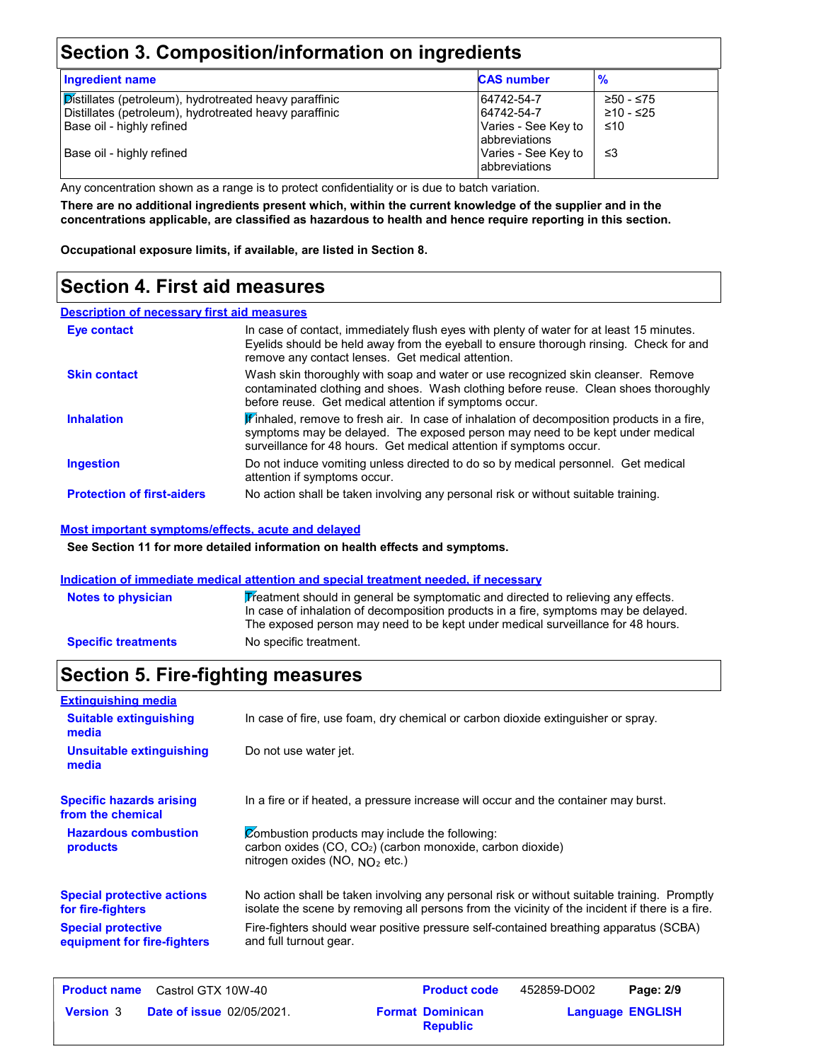## **Section 3. Composition/information on ingredients**

| <b>Ingredient name</b>                                                                                                                        | <b>CAS number</b>                                                       | %                             |
|-----------------------------------------------------------------------------------------------------------------------------------------------|-------------------------------------------------------------------------|-------------------------------|
| Distillates (petroleum), hydrotreated heavy paraffinic<br>Distillates (petroleum), hydrotreated heavy paraffinic<br>Base oil - highly refined | 64742-54-7<br>64742-54-7<br>Varies - See Key to<br><b>abbreviations</b> | ≥50 - ≤75<br>≥10 - ≤25<br>≤10 |
| Base oil - highly refined                                                                                                                     | Varies - See Key to<br><b>abbreviations</b>                             | צ≥                            |

Any concentration shown as a range is to protect confidentiality or is due to batch variation.

**There are no additional ingredients present which, within the current knowledge of the supplier and in the concentrations applicable, are classified as hazardous to health and hence require reporting in this section.**

**Occupational exposure limits, if available, are listed in Section 8.**

## **Section 4. First aid measures**

#### **Description of necessary first aid measures**

| Eye contact                       | In case of contact, immediately flush eyes with plenty of water for at least 15 minutes.<br>Eyelids should be held away from the eyeball to ensure thorough rinsing. Check for and<br>remove any contact lenses. Get medical attention.           |
|-----------------------------------|---------------------------------------------------------------------------------------------------------------------------------------------------------------------------------------------------------------------------------------------------|
| <b>Skin contact</b>               | Wash skin thoroughly with soap and water or use recognized skin cleanser. Remove<br>contaminated clothing and shoes. Wash clothing before reuse. Clean shoes thoroughly<br>before reuse. Get medical attention if symptoms occur.                 |
| <b>Inhalation</b>                 | Finhaled, remove to fresh air. In case of inhalation of decomposition products in a fire,<br>symptoms may be delayed. The exposed person may need to be kept under medical<br>surveillance for 48 hours. Get medical attention if symptoms occur. |
| <b>Ingestion</b>                  | Do not induce vomiting unless directed to do so by medical personnel. Get medical<br>attention if symptoms occur.                                                                                                                                 |
| <b>Protection of first-aiders</b> | No action shall be taken involving any personal risk or without suitable training.                                                                                                                                                                |

#### **Most important symptoms/effects, acute and delayed**

**See Section 11 for more detailed information on health effects and symptoms.**

#### **Indication of immediate medical attention and special treatment needed, if necessary**

| <b>Notes to physician</b>  | Treatment should in general be symptomatic and directed to relieving any effects.<br>In case of inhalation of decomposition products in a fire, symptoms may be delayed.<br>The exposed person may need to be kept under medical surveillance for 48 hours. |
|----------------------------|-------------------------------------------------------------------------------------------------------------------------------------------------------------------------------------------------------------------------------------------------------------|
| <b>Specific treatments</b> | No specific treatment.                                                                                                                                                                                                                                      |

## **Section 5. Fire-fighting measures**

| <b>Extinguishing media</b>                               |                                                                                                                                                                                                |  |  |  |
|----------------------------------------------------------|------------------------------------------------------------------------------------------------------------------------------------------------------------------------------------------------|--|--|--|
| <b>Suitable extinguishing</b><br>media                   | In case of fire, use foam, dry chemical or carbon dioxide extinguisher or spray.                                                                                                               |  |  |  |
| Unsuitable extinguishing<br>media                        | Do not use water jet.                                                                                                                                                                          |  |  |  |
| <b>Specific hazards arising</b><br>from the chemical     | In a fire or if heated, a pressure increase will occur and the container may burst.                                                                                                            |  |  |  |
| <b>Hazardous combustion</b><br><b>products</b>           | Combustion products may include the following:<br>carbon oxides (CO, CO <sub>2</sub> ) (carbon monoxide, carbon dioxide)<br>nitrogen oxides (NO, $NQ_2$ etc.)                                  |  |  |  |
| <b>Special protective actions</b><br>for fire-fighters   | No action shall be taken involving any personal risk or without suitable training. Promptly<br>isolate the scene by removing all persons from the vicinity of the incident if there is a fire. |  |  |  |
| <b>Special protective</b><br>equipment for fire-fighters | Fire-fighters should wear positive pressure self-contained breathing apparatus (SCBA)<br>and full turnout gear.                                                                                |  |  |  |
|                                                          |                                                                                                                                                                                                |  |  |  |

| <b>Product name</b> | Castrol GTX 10W-40               | <b>Product code</b>                        | 452859-DO02             | Page: 2/9 |
|---------------------|----------------------------------|--------------------------------------------|-------------------------|-----------|
| <b>Version 3</b>    | <b>Date of issue 02/05/2021.</b> | <b>Format Dominican</b><br><b>Republic</b> | <b>Language ENGLISH</b> |           |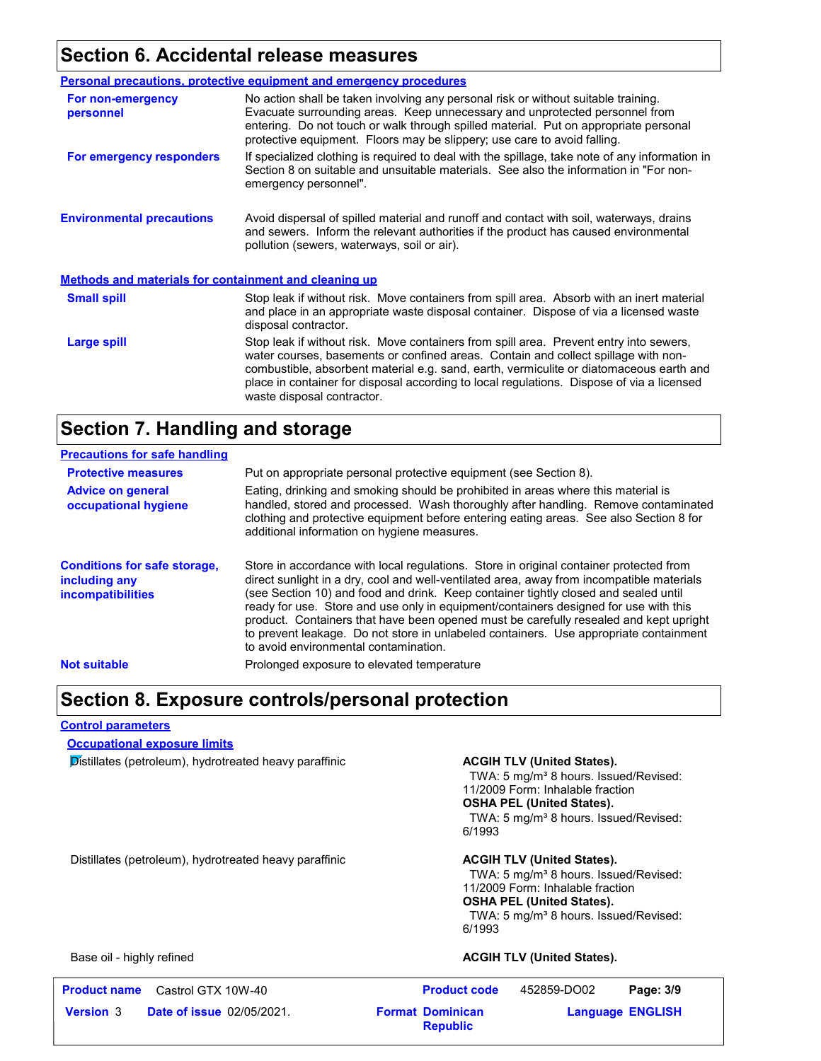### **Section 6. Accidental release measures**

|                                                              | <b>Personal precautions, protective equipment and emergency procedures</b>                                                                                                                                                                                                                                                                                                                         |  |  |
|--------------------------------------------------------------|----------------------------------------------------------------------------------------------------------------------------------------------------------------------------------------------------------------------------------------------------------------------------------------------------------------------------------------------------------------------------------------------------|--|--|
| For non-emergency<br>personnel                               | No action shall be taken involving any personal risk or without suitable training.<br>Evacuate surrounding areas. Keep unnecessary and unprotected personnel from<br>entering. Do not touch or walk through spilled material. Put on appropriate personal<br>protective equipment. Floors may be slippery; use care to avoid falling.                                                              |  |  |
| For emergency responders                                     | If specialized clothing is required to deal with the spillage, take note of any information in<br>Section 8 on suitable and unsuitable materials. See also the information in "For non-<br>emergency personnel".                                                                                                                                                                                   |  |  |
| <b>Environmental precautions</b>                             | Avoid dispersal of spilled material and runoff and contact with soil, waterways, drains<br>and sewers. Inform the relevant authorities if the product has caused environmental<br>pollution (sewers, waterways, soil or air).                                                                                                                                                                      |  |  |
| <b>Methods and materials for containment and cleaning up</b> |                                                                                                                                                                                                                                                                                                                                                                                                    |  |  |
| <b>Small spill</b>                                           | Stop leak if without risk. Move containers from spill area. Absorb with an inert material<br>and place in an appropriate waste disposal container. Dispose of via a licensed waste<br>disposal contractor.                                                                                                                                                                                         |  |  |
| Large spill                                                  | Stop leak if without risk. Move containers from spill area. Prevent entry into sewers,<br>water courses, basements or confined areas. Contain and collect spillage with non-<br>combustible, absorbent material e.g. sand, earth, vermiculite or diatomaceous earth and<br>place in container for disposal according to local regulations. Dispose of via a licensed<br>waste disposal contractor. |  |  |

### **Section 7. Handling and storage**

| <b>Precautions for safe handling</b>                                             |                                                                                                                                                                                                                                                                                                                                                                                                                                                                                                                                                                                               |
|----------------------------------------------------------------------------------|-----------------------------------------------------------------------------------------------------------------------------------------------------------------------------------------------------------------------------------------------------------------------------------------------------------------------------------------------------------------------------------------------------------------------------------------------------------------------------------------------------------------------------------------------------------------------------------------------|
| <b>Protective measures</b>                                                       | Put on appropriate personal protective equipment (see Section 8).                                                                                                                                                                                                                                                                                                                                                                                                                                                                                                                             |
| <b>Advice on general</b><br>occupational hygiene                                 | Eating, drinking and smoking should be prohibited in areas where this material is<br>handled, stored and processed. Wash thoroughly after handling. Remove contaminated<br>clothing and protective equipment before entering eating areas. See also Section 8 for<br>additional information on hygiene measures.                                                                                                                                                                                                                                                                              |
| <b>Conditions for safe storage,</b><br>including any<br><i>incompatibilities</i> | Store in accordance with local regulations. Store in original container protected from<br>direct sunlight in a dry, cool and well-ventilated area, away from incompatible materials<br>(see Section 10) and food and drink. Keep container tightly closed and sealed until<br>ready for use. Store and use only in equipment/containers designed for use with this<br>product. Containers that have been opened must be carefully resealed and kept upright<br>to prevent leakage. Do not store in unlabeled containers. Use appropriate containment<br>to avoid environmental contamination. |
| <b>Not suitable</b>                                                              | Prolonged exposure to elevated temperature                                                                                                                                                                                                                                                                                                                                                                                                                                                                                                                                                    |

### **Section 8. Exposure controls/personal protection**

#### **Control parameters**

**Occupational exposure limits**

**Distillates (petroleum), hydrotreated heavy paraffinic <b>ACGIH TLV (United States).** 

TWA: 5 mg/m<sup>3</sup> 8 hours. Issued/Revised: 11/2009 Form: Inhalable fraction **OSHA PEL (United States).** TWA: 5 mg/m<sup>3</sup> 8 hours. Issued/Revised: 6/1993

Distillates (petroleum), hydrotreated heavy paraffinic **ACGIH TLV (United States).**

TWA: 5 mg/m<sup>3</sup> 8 hours. Issued/Revised: 11/2009 Form: Inhalable fraction **OSHA PEL (United States).** TWA: 5 mg/m<sup>3</sup> 8 hours. Issued/Revised: 6/1993

#### Base oil - highly refined **ACGIH TLV (United States).** ACGIH TLV (United States).

| Product name     | Castrol GTX 10W-40               |  | <b>Product code</b>                        | 452859-DO02 | Page: 3/9               |  |
|------------------|----------------------------------|--|--------------------------------------------|-------------|-------------------------|--|
| <b>Version 3</b> | <b>Date of issue 02/05/2021.</b> |  | <b>Format Dominican</b><br><b>Republic</b> |             | <b>Language ENGLISH</b> |  |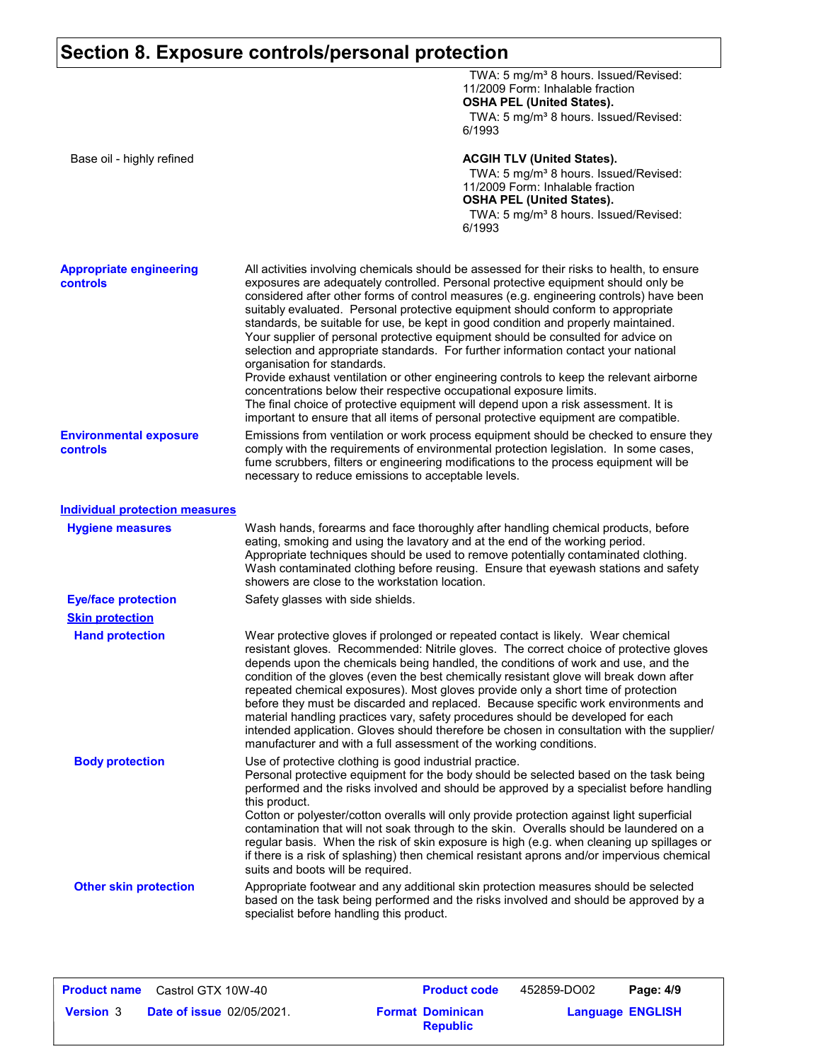## **Section 8. Exposure controls/personal protection**

| Base oil - highly refined<br><b>ACGIH TLV (United States).</b><br>TWA: 5 mg/m <sup>3</sup> 8 hours. Issued/Revised:<br>11/2009 Form: Inhalable fraction<br><b>OSHA PEL (United States).</b><br>TWA: 5 mg/m <sup>3</sup> 8 hours. Issued/Revised:<br>6/1993<br><b>Appropriate engineering</b><br>All activities involving chemicals should be assessed for their risks to health, to ensure<br>exposures are adequately controlled. Personal protective equipment should only be<br><b>controls</b><br>considered after other forms of control measures (e.g. engineering controls) have been<br>suitably evaluated. Personal protective equipment should conform to appropriate<br>standards, be suitable for use, be kept in good condition and properly maintained.<br>Your supplier of personal protective equipment should be consulted for advice on<br>selection and appropriate standards. For further information contact your national<br>organisation for standards.<br>Provide exhaust ventilation or other engineering controls to keep the relevant airborne<br>concentrations below their respective occupational exposure limits.<br>The final choice of protective equipment will depend upon a risk assessment. It is<br>important to ensure that all items of personal protective equipment are compatible.<br>Emissions from ventilation or work process equipment should be checked to ensure they<br><b>Environmental exposure</b><br>comply with the requirements of environmental protection legislation. In some cases,<br><b>controls</b><br>fume scrubbers, filters or engineering modifications to the process equipment will be<br>necessary to reduce emissions to acceptable levels.<br><b>Individual protection measures</b><br>Wash hands, forearms and face thoroughly after handling chemical products, before<br><b>Hygiene measures</b><br>eating, smoking and using the lavatory and at the end of the working period.<br>Appropriate techniques should be used to remove potentially contaminated clothing.<br>Wash contaminated clothing before reusing. Ensure that eyewash stations and safety<br>showers are close to the workstation location.<br><b>Eye/face protection</b><br>Safety glasses with side shields.<br><b>Skin protection</b><br>Wear protective gloves if prolonged or repeated contact is likely. Wear chemical<br><b>Hand protection</b><br>resistant gloves. Recommended: Nitrile gloves. The correct choice of protective gloves<br>depends upon the chemicals being handled, the conditions of work and use, and the<br>condition of the gloves (even the best chemically resistant glove will break down after<br>repeated chemical exposures). Most gloves provide only a short time of protection<br>before they must be discarded and replaced. Because specific work environments and<br>material handling practices vary, safety procedures should be developed for each<br>intended application. Gloves should therefore be chosen in consultation with the supplier/<br>manufacturer and with a full assessment of the working conditions.<br><b>Body protection</b><br>Use of protective clothing is good industrial practice.<br>Personal protective equipment for the body should be selected based on the task being<br>performed and the risks involved and should be approved by a specialist before handling<br>this product.<br>Cotton or polyester/cotton overalls will only provide protection against light superficial<br>contamination that will not soak through to the skin. Overalls should be laundered on a<br>regular basis. When the risk of skin exposure is high (e.g. when cleaning up spillages or<br>if there is a risk of splashing) then chemical resistant aprons and/or impervious chemical<br>suits and boots will be required.<br><b>Other skin protection</b><br>Appropriate footwear and any additional skin protection measures should be selected<br>based on the task being performed and the risks involved and should be approved by a<br>specialist before handling this product. | TWA: 5 mg/m <sup>3</sup> 8 hours. Issued/Revised:<br>11/2009 Form: Inhalable fraction<br><b>OSHA PEL (United States).</b><br>TWA: 5 mg/m <sup>3</sup> 8 hours. Issued/Revised:<br>6/1993 |  |
|-------------------------------------------------------------------------------------------------------------------------------------------------------------------------------------------------------------------------------------------------------------------------------------------------------------------------------------------------------------------------------------------------------------------------------------------------------------------------------------------------------------------------------------------------------------------------------------------------------------------------------------------------------------------------------------------------------------------------------------------------------------------------------------------------------------------------------------------------------------------------------------------------------------------------------------------------------------------------------------------------------------------------------------------------------------------------------------------------------------------------------------------------------------------------------------------------------------------------------------------------------------------------------------------------------------------------------------------------------------------------------------------------------------------------------------------------------------------------------------------------------------------------------------------------------------------------------------------------------------------------------------------------------------------------------------------------------------------------------------------------------------------------------------------------------------------------------------------------------------------------------------------------------------------------------------------------------------------------------------------------------------------------------------------------------------------------------------------------------------------------------------------------------------------------------------------------------------------------------------------------------------------------------------------------------------------------------------------------------------------------------------------------------------------------------------------------------------------------------------------------------------------------------------------------------------------------------------------------------------------------------------------------------------------------------------------------------------------------------------------------------------------------------------------------------------------------------------------------------------------------------------------------------------------------------------------------------------------------------------------------------------------------------------------------------------------------------------------------------------------------------------------------------------------------------------------------------------------------------------------------------------------------------------------------------------------------------------------------------------------------------------------------------------------------------------------------------------------------------------------------------------------------------------------------------------------------------------------------------------------------------------------------------------------------------------------------------------------------------------------------------------------------------------------------------------------------------------------------------------------------------------------------------------------------------------------------------------------------------------------------------------------------------------------------------------------------------------------------|------------------------------------------------------------------------------------------------------------------------------------------------------------------------------------------|--|
|                                                                                                                                                                                                                                                                                                                                                                                                                                                                                                                                                                                                                                                                                                                                                                                                                                                                                                                                                                                                                                                                                                                                                                                                                                                                                                                                                                                                                                                                                                                                                                                                                                                                                                                                                                                                                                                                                                                                                                                                                                                                                                                                                                                                                                                                                                                                                                                                                                                                                                                                                                                                                                                                                                                                                                                                                                                                                                                                                                                                                                                                                                                                                                                                                                                                                                                                                                                                                                                                                                                                                                                                                                                                                                                                                                                                                                                                                                                                                                                                                                                                                                 |                                                                                                                                                                                          |  |
|                                                                                                                                                                                                                                                                                                                                                                                                                                                                                                                                                                                                                                                                                                                                                                                                                                                                                                                                                                                                                                                                                                                                                                                                                                                                                                                                                                                                                                                                                                                                                                                                                                                                                                                                                                                                                                                                                                                                                                                                                                                                                                                                                                                                                                                                                                                                                                                                                                                                                                                                                                                                                                                                                                                                                                                                                                                                                                                                                                                                                                                                                                                                                                                                                                                                                                                                                                                                                                                                                                                                                                                                                                                                                                                                                                                                                                                                                                                                                                                                                                                                                                 |                                                                                                                                                                                          |  |
|                                                                                                                                                                                                                                                                                                                                                                                                                                                                                                                                                                                                                                                                                                                                                                                                                                                                                                                                                                                                                                                                                                                                                                                                                                                                                                                                                                                                                                                                                                                                                                                                                                                                                                                                                                                                                                                                                                                                                                                                                                                                                                                                                                                                                                                                                                                                                                                                                                                                                                                                                                                                                                                                                                                                                                                                                                                                                                                                                                                                                                                                                                                                                                                                                                                                                                                                                                                                                                                                                                                                                                                                                                                                                                                                                                                                                                                                                                                                                                                                                                                                                                 |                                                                                                                                                                                          |  |
|                                                                                                                                                                                                                                                                                                                                                                                                                                                                                                                                                                                                                                                                                                                                                                                                                                                                                                                                                                                                                                                                                                                                                                                                                                                                                                                                                                                                                                                                                                                                                                                                                                                                                                                                                                                                                                                                                                                                                                                                                                                                                                                                                                                                                                                                                                                                                                                                                                                                                                                                                                                                                                                                                                                                                                                                                                                                                                                                                                                                                                                                                                                                                                                                                                                                                                                                                                                                                                                                                                                                                                                                                                                                                                                                                                                                                                                                                                                                                                                                                                                                                                 |                                                                                                                                                                                          |  |
|                                                                                                                                                                                                                                                                                                                                                                                                                                                                                                                                                                                                                                                                                                                                                                                                                                                                                                                                                                                                                                                                                                                                                                                                                                                                                                                                                                                                                                                                                                                                                                                                                                                                                                                                                                                                                                                                                                                                                                                                                                                                                                                                                                                                                                                                                                                                                                                                                                                                                                                                                                                                                                                                                                                                                                                                                                                                                                                                                                                                                                                                                                                                                                                                                                                                                                                                                                                                                                                                                                                                                                                                                                                                                                                                                                                                                                                                                                                                                                                                                                                                                                 |                                                                                                                                                                                          |  |
|                                                                                                                                                                                                                                                                                                                                                                                                                                                                                                                                                                                                                                                                                                                                                                                                                                                                                                                                                                                                                                                                                                                                                                                                                                                                                                                                                                                                                                                                                                                                                                                                                                                                                                                                                                                                                                                                                                                                                                                                                                                                                                                                                                                                                                                                                                                                                                                                                                                                                                                                                                                                                                                                                                                                                                                                                                                                                                                                                                                                                                                                                                                                                                                                                                                                                                                                                                                                                                                                                                                                                                                                                                                                                                                                                                                                                                                                                                                                                                                                                                                                                                 |                                                                                                                                                                                          |  |
|                                                                                                                                                                                                                                                                                                                                                                                                                                                                                                                                                                                                                                                                                                                                                                                                                                                                                                                                                                                                                                                                                                                                                                                                                                                                                                                                                                                                                                                                                                                                                                                                                                                                                                                                                                                                                                                                                                                                                                                                                                                                                                                                                                                                                                                                                                                                                                                                                                                                                                                                                                                                                                                                                                                                                                                                                                                                                                                                                                                                                                                                                                                                                                                                                                                                                                                                                                                                                                                                                                                                                                                                                                                                                                                                                                                                                                                                                                                                                                                                                                                                                                 |                                                                                                                                                                                          |  |
|                                                                                                                                                                                                                                                                                                                                                                                                                                                                                                                                                                                                                                                                                                                                                                                                                                                                                                                                                                                                                                                                                                                                                                                                                                                                                                                                                                                                                                                                                                                                                                                                                                                                                                                                                                                                                                                                                                                                                                                                                                                                                                                                                                                                                                                                                                                                                                                                                                                                                                                                                                                                                                                                                                                                                                                                                                                                                                                                                                                                                                                                                                                                                                                                                                                                                                                                                                                                                                                                                                                                                                                                                                                                                                                                                                                                                                                                                                                                                                                                                                                                                                 |                                                                                                                                                                                          |  |
|                                                                                                                                                                                                                                                                                                                                                                                                                                                                                                                                                                                                                                                                                                                                                                                                                                                                                                                                                                                                                                                                                                                                                                                                                                                                                                                                                                                                                                                                                                                                                                                                                                                                                                                                                                                                                                                                                                                                                                                                                                                                                                                                                                                                                                                                                                                                                                                                                                                                                                                                                                                                                                                                                                                                                                                                                                                                                                                                                                                                                                                                                                                                                                                                                                                                                                                                                                                                                                                                                                                                                                                                                                                                                                                                                                                                                                                                                                                                                                                                                                                                                                 |                                                                                                                                                                                          |  |
|                                                                                                                                                                                                                                                                                                                                                                                                                                                                                                                                                                                                                                                                                                                                                                                                                                                                                                                                                                                                                                                                                                                                                                                                                                                                                                                                                                                                                                                                                                                                                                                                                                                                                                                                                                                                                                                                                                                                                                                                                                                                                                                                                                                                                                                                                                                                                                                                                                                                                                                                                                                                                                                                                                                                                                                                                                                                                                                                                                                                                                                                                                                                                                                                                                                                                                                                                                                                                                                                                                                                                                                                                                                                                                                                                                                                                                                                                                                                                                                                                                                                                                 |                                                                                                                                                                                          |  |

| <b>Product name</b> | Castrol GTX 10W-40               |                         | <b>Product code</b> | 452859-DO02 | Page: 4/9               |
|---------------------|----------------------------------|-------------------------|---------------------|-------------|-------------------------|
| <b>Version 3</b>    | <b>Date of issue 02/05/2021.</b> | <b>Format Dominican</b> | <b>Republic</b>     |             | <b>Language ENGLISH</b> |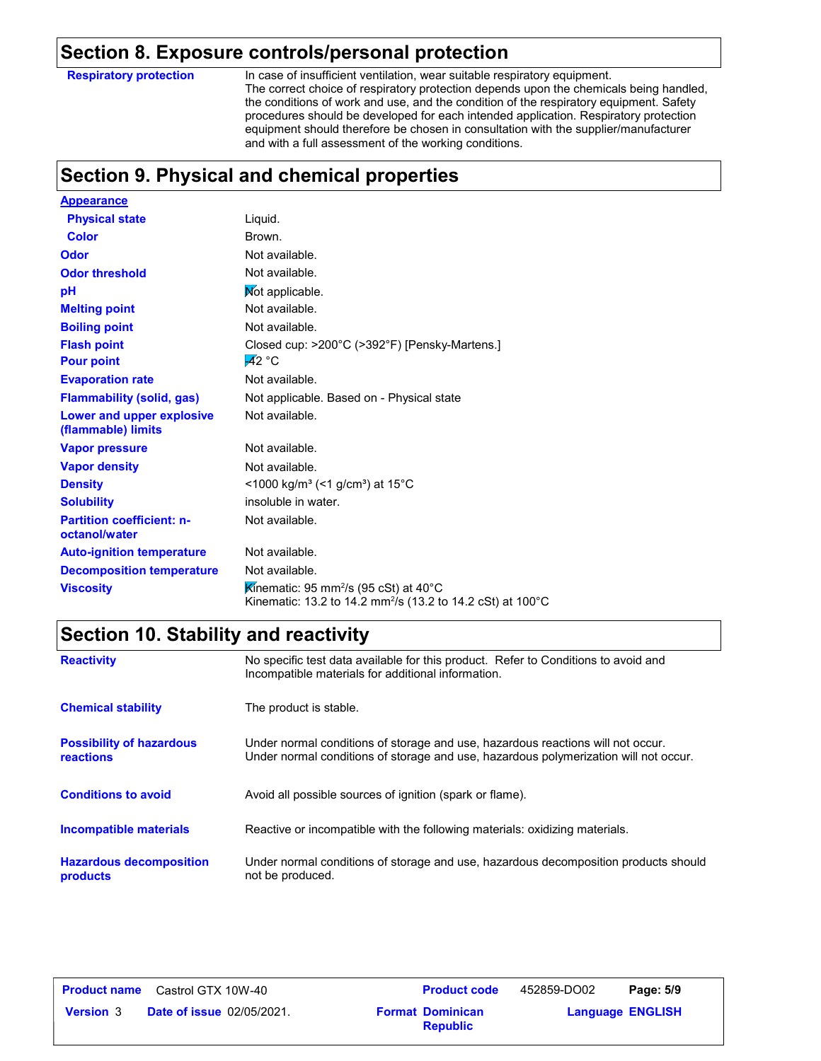#### **Section 8. Exposure controls/personal protection**

**Respiratory protection**

In case of insufficient ventilation, wear suitable respiratory equipment. The correct choice of respiratory protection depends upon the chemicals being handled, the conditions of work and use, and the condition of the respiratory equipment. Safety procedures should be developed for each intended application. Respiratory protection equipment should therefore be chosen in consultation with the supplier/manufacturer and with a full assessment of the working conditions.

## **Section 9. Physical and chemical properties**

| <b>Appearance</b>                                 |                                                                                                                              |
|---------------------------------------------------|------------------------------------------------------------------------------------------------------------------------------|
| <b>Physical state</b>                             | Liquid.                                                                                                                      |
| <b>Color</b>                                      | Brown.                                                                                                                       |
| <b>Odor</b>                                       | Not available.                                                                                                               |
| <b>Odor threshold</b>                             | Not available.                                                                                                               |
| pH                                                | Not applicable.                                                                                                              |
| <b>Melting point</b>                              | Not available.                                                                                                               |
| <b>Boiling point</b>                              | Not available.                                                                                                               |
| <b>Flash point</b>                                | Closed cup: $>200^{\circ}$ C ( $>392^{\circ}$ F) [Pensky-Martens.]                                                           |
| <b>Pour point</b>                                 | $-42 °C$                                                                                                                     |
| <b>Evaporation rate</b>                           | Not available.                                                                                                               |
| <b>Flammability (solid, gas)</b>                  | Not applicable. Based on - Physical state                                                                                    |
| Lower and upper explosive<br>(flammable) limits   | Not available.                                                                                                               |
| <b>Vapor pressure</b>                             | Not available.                                                                                                               |
| <b>Vapor density</b>                              | Not available.                                                                                                               |
| <b>Density</b>                                    | <1000 kg/m <sup>3</sup> (<1 g/cm <sup>3</sup> ) at 15 <sup>°</sup> C                                                         |
| <b>Solubility</b>                                 | insoluble in water.                                                                                                          |
| <b>Partition coefficient: n-</b><br>octanol/water | Not available.                                                                                                               |
| <b>Auto-ignition temperature</b>                  | Not available.                                                                                                               |
| <b>Decomposition temperature</b>                  | Not available.                                                                                                               |
| <b>Viscosity</b>                                  | Kinematic: 95 mm <sup>2</sup> /s (95 cSt) at 40°C<br>Kinematic: 13.2 to 14.2 mm <sup>2</sup> /s (13.2 to 14.2 cSt) at 100 °C |

## **Section 10. Stability and reactivity**

| <b>Reactivity</b>                                   | No specific test data available for this product. Refer to Conditions to avoid and<br>Incompatible materials for additional information.                                |
|-----------------------------------------------------|-------------------------------------------------------------------------------------------------------------------------------------------------------------------------|
| <b>Chemical stability</b>                           | The product is stable.                                                                                                                                                  |
| <b>Possibility of hazardous</b><br><b>reactions</b> | Under normal conditions of storage and use, hazardous reactions will not occur.<br>Under normal conditions of storage and use, hazardous polymerization will not occur. |
| <b>Conditions to avoid</b>                          | Avoid all possible sources of ignition (spark or flame).                                                                                                                |
| <b>Incompatible materials</b>                       | Reactive or incompatible with the following materials: oxidizing materials.                                                                                             |
| <b>Hazardous decomposition</b><br>products          | Under normal conditions of storage and use, hazardous decomposition products should<br>not be produced.                                                                 |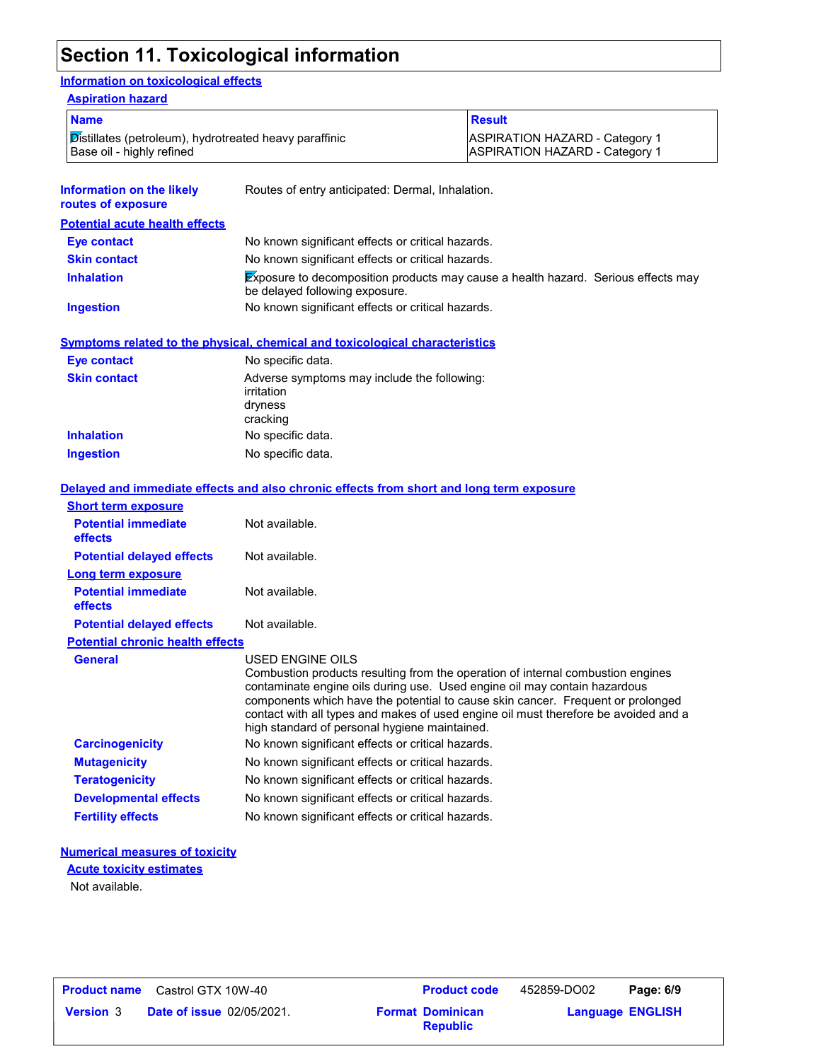## **Section 11. Toxicological information**

#### **Information on toxicological effects**

| <b>ASPIRATION HAZARD - Category 1</b><br><b>ASPIRATION HAZARD - Category 1</b> |  |  |
|--------------------------------------------------------------------------------|--|--|
|                                                                                |  |  |
|                                                                                |  |  |

| routes of exposure                    | Prodice of only anticipated. Bornian, imparation.                                                                          |
|---------------------------------------|----------------------------------------------------------------------------------------------------------------------------|
| <b>Potential acute health effects</b> |                                                                                                                            |
| Eye contact                           | No known significant effects or critical hazards.                                                                          |
| <b>Skin contact</b>                   | No known significant effects or critical hazards.                                                                          |
| <b>Inhalation</b>                     | <b>Exposure to decomposition products may cause a health hazard. Serious effects may</b><br>be delayed following exposure. |
| Ingestion                             | No known significant effects or critical hazards.                                                                          |
| Eye contact                           | Symptoms related to the physical, chemical and toxicological characteristics<br>No specific data.                          |
| <b>Skin contact</b>                   | Adverse symptoms may include the following:<br>irritation                                                                  |
|                                       | dryness<br>cracking                                                                                                        |
| <b>Inhalation</b>                     | No specific data.                                                                                                          |
| <b>Ingestion</b>                      | No specific data.                                                                                                          |
|                                       |                                                                                                                            |

|                                         | Delayed and immediate effects and also chronic effects from short and long term exposure                                                                                                                                                                                                                                                                                                                    |
|-----------------------------------------|-------------------------------------------------------------------------------------------------------------------------------------------------------------------------------------------------------------------------------------------------------------------------------------------------------------------------------------------------------------------------------------------------------------|
| <b>Short term exposure</b>              |                                                                                                                                                                                                                                                                                                                                                                                                             |
| <b>Potential immediate</b><br>effects   | Not available.                                                                                                                                                                                                                                                                                                                                                                                              |
| <b>Potential delayed effects</b>        | Not available.                                                                                                                                                                                                                                                                                                                                                                                              |
| Long term exposure                      |                                                                                                                                                                                                                                                                                                                                                                                                             |
| <b>Potential immediate</b><br>effects   | Not available.                                                                                                                                                                                                                                                                                                                                                                                              |
| <b>Potential delayed effects</b>        | Not available.                                                                                                                                                                                                                                                                                                                                                                                              |
| <b>Potential chronic health effects</b> |                                                                                                                                                                                                                                                                                                                                                                                                             |
| <b>General</b>                          | USED ENGINE OILS<br>Combustion products resulting from the operation of internal combustion engines<br>contaminate engine oils during use. Used engine oil may contain hazardous<br>components which have the potential to cause skin cancer. Frequent or prolonged<br>contact with all types and makes of used engine oil must therefore be avoided and a<br>high standard of personal hygiene maintained. |
| <b>Carcinogenicity</b>                  | No known significant effects or critical hazards.                                                                                                                                                                                                                                                                                                                                                           |
|                                         |                                                                                                                                                                                                                                                                                                                                                                                                             |
| <b>Mutagenicity</b>                     | No known significant effects or critical hazards.                                                                                                                                                                                                                                                                                                                                                           |
| <b>Teratogenicity</b>                   | No known significant effects or critical hazards.                                                                                                                                                                                                                                                                                                                                                           |
| <b>Developmental effects</b>            | No known significant effects or critical hazards.                                                                                                                                                                                                                                                                                                                                                           |
| <b>Fertility effects</b>                | No known significant effects or critical hazards.                                                                                                                                                                                                                                                                                                                                                           |

#### **Numerical measures of toxicity**

Not available. **Acute toxicity estimates**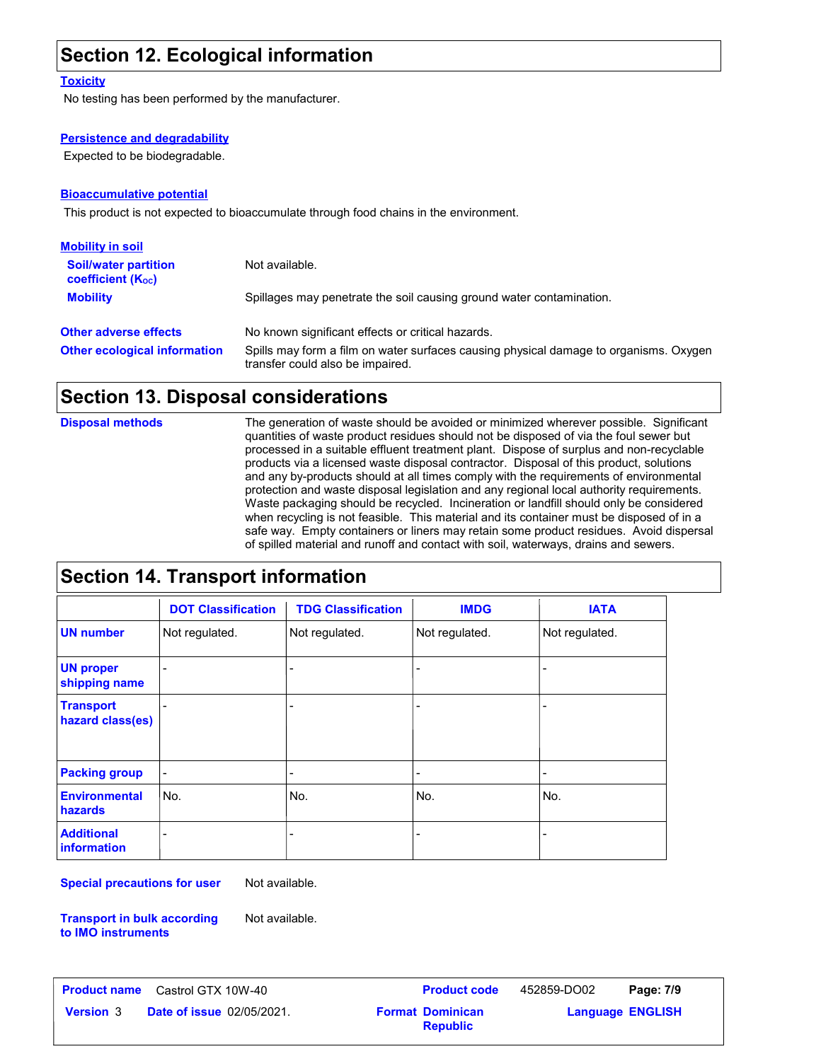## **Section 12. Ecological information**

#### **Toxicity**

No testing has been performed by the manufacturer.

#### **Persistence and degradability**

Expected to be biodegradable.

#### **Bioaccumulative potential**

This product is not expected to bioaccumulate through food chains in the environment.

| <b>Mobility in soil</b>                                 |                                                                                                                           |
|---------------------------------------------------------|---------------------------------------------------------------------------------------------------------------------------|
| <b>Soil/water partition</b><br><b>coefficient (Koc)</b> | Not available.                                                                                                            |
| <b>Mobility</b>                                         | Spillages may penetrate the soil causing ground water contamination.                                                      |
| <b>Other adverse effects</b>                            | No known significant effects or critical hazards.                                                                         |
| <b>Other ecological information</b>                     | Spills may form a film on water surfaces causing physical damage to organisms. Oxygen<br>transfer could also be impaired. |

#### **Section 13. Disposal considerations**

The generation of waste should be avoided or minimized wherever possible. Significant quantities of waste product residues should not be disposed of via the foul sewer but processed in a suitable effluent treatment plant. Dispose of surplus and non-recyclable products via a licensed waste disposal contractor. Disposal of this product, solutions and any by-products should at all times comply with the requirements of environmental protection and waste disposal legislation and any regional local authority requirements. Waste packaging should be recycled. Incineration or landfill should only be considered when recycling is not feasible. This material and its container must be disposed of in a safe way. Empty containers or liners may retain some product residues. Avoid dispersal of spilled material and runoff and contact with soil, waterways, drains and sewers. **Disposal methods**

## **Section 14. Transport information**

|                                         | <b>DOT Classification</b> | <b>TDG Classification</b> | <b>IMDG</b>                  | <b>IATA</b>              |
|-----------------------------------------|---------------------------|---------------------------|------------------------------|--------------------------|
| <b>UN number</b>                        | Not regulated.            | Not regulated.            | Not regulated.               | Not regulated.           |
| <b>UN proper</b><br>shipping name       |                           |                           | $\overline{\phantom{a}}$     | $\overline{\phantom{0}}$ |
| <b>Transport</b><br>hazard class(es)    |                           |                           | $\overline{\phantom{a}}$     | ٠                        |
| <b>Packing group</b>                    |                           | $\overline{\phantom{a}}$  | $\qquad \qquad \blacksquare$ | -                        |
| <b>Environmental</b><br>hazards         | No.                       | No.                       | No.                          | No.                      |
| <b>Additional</b><br><b>information</b> |                           | -                         | -                            |                          |

**Special precautions for user** Not available.

**Transport in bulk according to IMO instruments** Not available.

**Version 3 • Date of issue 02/05/2021. The according Format Dominican Format Dominican Format Dominican Research Dominican Research Dominican Research Dominican Research Dominican Research Dominican Research Dominican Rese Product name** Castrol GTX 10W-40 **Product code** 452859-DO02 **Page: 7/9** | **Language ENGLISH** 452859-DO02 **Format Dominican Republic**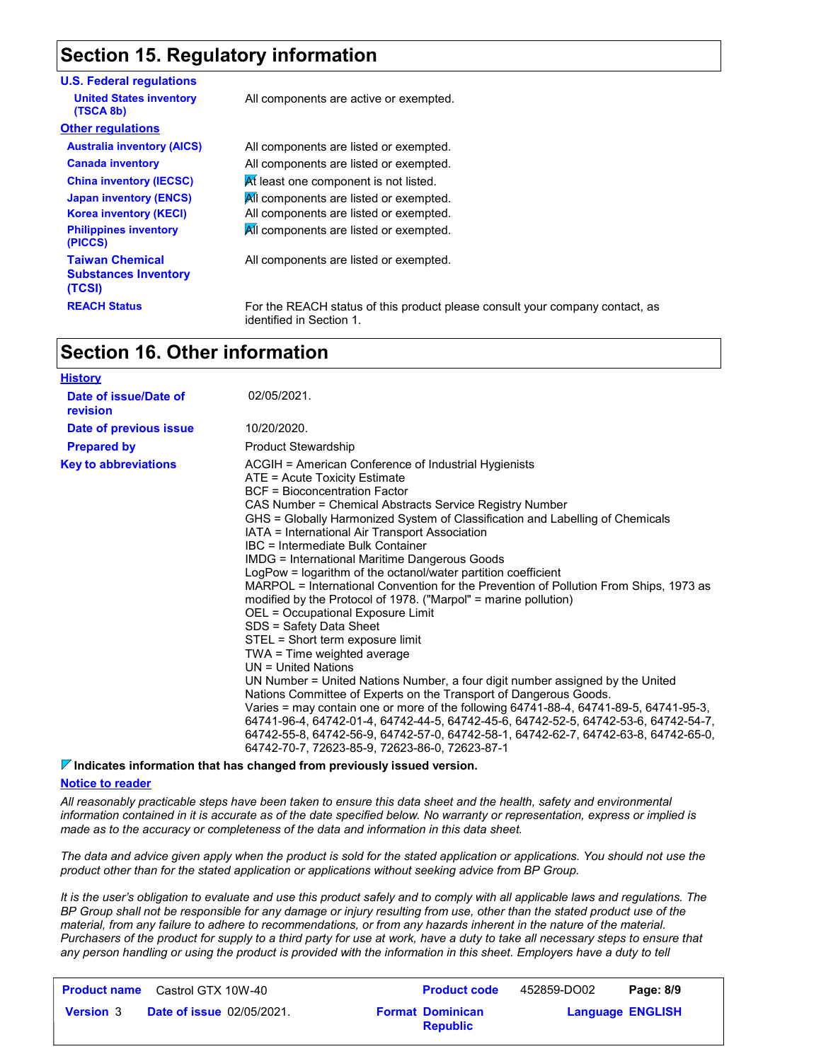## **Section 15. Regulatory information**

| <b>U.S. Federal regulations</b>                                 |                                                                                                          |
|-----------------------------------------------------------------|----------------------------------------------------------------------------------------------------------|
| <b>United States inventory</b><br>(TSCA 8b)                     | All components are active or exempted.                                                                   |
| <b>Other regulations</b>                                        |                                                                                                          |
| <b>Australia inventory (AICS)</b>                               | All components are listed or exempted.                                                                   |
| <b>Canada inventory</b>                                         | All components are listed or exempted.                                                                   |
| <b>China inventory (IECSC)</b>                                  | At least one component is not listed.                                                                    |
| <b>Japan inventory (ENCS)</b>                                   | All components are listed or exempted.                                                                   |
| <b>Korea inventory (KECI)</b>                                   | All components are listed or exempted.                                                                   |
| <b>Philippines inventory</b><br>(PICCS)                         | All components are listed or exempted.                                                                   |
| <b>Taiwan Chemical</b><br><b>Substances Inventory</b><br>(TCSI) | All components are listed or exempted.                                                                   |
| <b>REACH Status</b>                                             | For the REACH status of this product please consult your company contact, as<br>identified in Section 1. |

#### **Section 16. Other information**

| <b>History</b>                    |                                                                                                                                                                                                                                                                                                                                                                                                                                                                                                                                                                                                                                                                                                                                                                                                                                                                                                                                                                                                                                                                                                                                                                                                                                                                                         |
|-----------------------------------|-----------------------------------------------------------------------------------------------------------------------------------------------------------------------------------------------------------------------------------------------------------------------------------------------------------------------------------------------------------------------------------------------------------------------------------------------------------------------------------------------------------------------------------------------------------------------------------------------------------------------------------------------------------------------------------------------------------------------------------------------------------------------------------------------------------------------------------------------------------------------------------------------------------------------------------------------------------------------------------------------------------------------------------------------------------------------------------------------------------------------------------------------------------------------------------------------------------------------------------------------------------------------------------------|
| Date of issue/Date of<br>revision | 02/05/2021.                                                                                                                                                                                                                                                                                                                                                                                                                                                                                                                                                                                                                                                                                                                                                                                                                                                                                                                                                                                                                                                                                                                                                                                                                                                                             |
| Date of previous issue            | 10/20/2020.                                                                                                                                                                                                                                                                                                                                                                                                                                                                                                                                                                                                                                                                                                                                                                                                                                                                                                                                                                                                                                                                                                                                                                                                                                                                             |
| <b>Prepared by</b>                | <b>Product Stewardship</b>                                                                                                                                                                                                                                                                                                                                                                                                                                                                                                                                                                                                                                                                                                                                                                                                                                                                                                                                                                                                                                                                                                                                                                                                                                                              |
| <b>Key to abbreviations</b>       | ACGIH = American Conference of Industrial Hygienists<br>ATE = Acute Toxicity Estimate<br><b>BCF = Bioconcentration Factor</b><br>CAS Number = Chemical Abstracts Service Registry Number<br>GHS = Globally Harmonized System of Classification and Labelling of Chemicals<br>IATA = International Air Transport Association<br>IBC = Intermediate Bulk Container<br>IMDG = International Maritime Dangerous Goods<br>LogPow = logarithm of the octanol/water partition coefficient<br>MARPOL = International Convention for the Prevention of Pollution From Ships, 1973 as<br>modified by the Protocol of 1978. ("Marpol" = marine pollution)<br>OEL = Occupational Exposure Limit<br>SDS = Safety Data Sheet<br>STEL = Short term exposure limit<br>TWA = Time weighted average<br>UN = United Nations<br>UN Number = United Nations Number, a four digit number assigned by the United<br>Nations Committee of Experts on the Transport of Dangerous Goods.<br>Varies = may contain one or more of the following 64741-88-4, 64741-89-5, 64741-95-3,<br>64741-96-4, 64742-01-4, 64742-44-5, 64742-45-6, 64742-52-5, 64742-53-6, 64742-54-7,<br>64742-55-8, 64742-56-9, 64742-57-0, 64742-58-1, 64742-62-7, 64742-63-8, 64742-65-0,<br>64742-70-7, 72623-85-9, 72623-86-0, 72623-87-1 |

#### **Indicates information that has changed from previously issued version.**

#### **Notice to reader**

*All reasonably practicable steps have been taken to ensure this data sheet and the health, safety and environmental information contained in it is accurate as of the date specified below. No warranty or representation, express or implied is made as to the accuracy or completeness of the data and information in this data sheet.*

*The data and advice given apply when the product is sold for the stated application or applications. You should not use the product other than for the stated application or applications without seeking advice from BP Group.*

*It is the user's obligation to evaluate and use this product safely and to comply with all applicable laws and regulations. The BP Group shall not be responsible for any damage or injury resulting from use, other than the stated product use of the material, from any failure to adhere to recommendations, or from any hazards inherent in the nature of the material. Purchasers of the product for supply to a third party for use at work, have a duty to take all necessary steps to ensure that*  any person handling or using the product is provided with the information in this sheet. Employers have a duty to tell

| <b>Product name</b> Castrol GTX 10W-40 |                                  |  | <b>Product code</b>                        | 452859-DO02             | Page: 8/9 |
|----------------------------------------|----------------------------------|--|--------------------------------------------|-------------------------|-----------|
| <b>Version</b> 3                       | <b>Date of issue 02/05/2021.</b> |  | <b>Format Dominican</b><br><b>Republic</b> | <b>Language ENGLISH</b> |           |